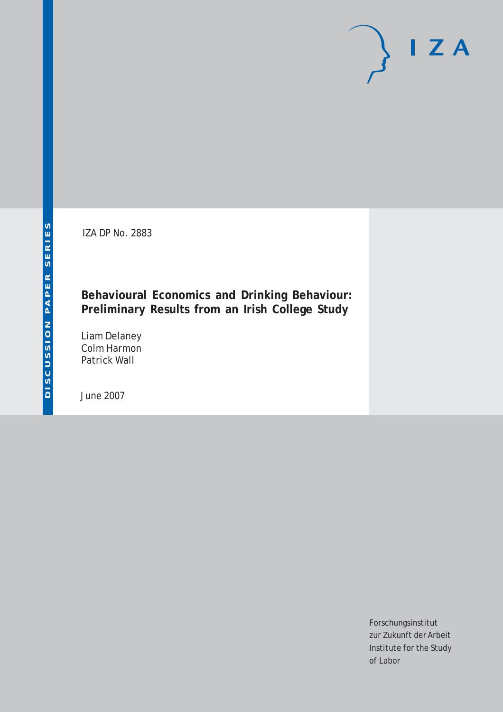IZA DP No. 2883

**Behavioural Economics and Drinking Behaviour: Preliminary Results from an Irish College Study**

Liam Delaney Colm Harmon Patrick Wall

June 2007

Forschungsinstitut zur Zukunft der Arbeit Institute for the Study of Labor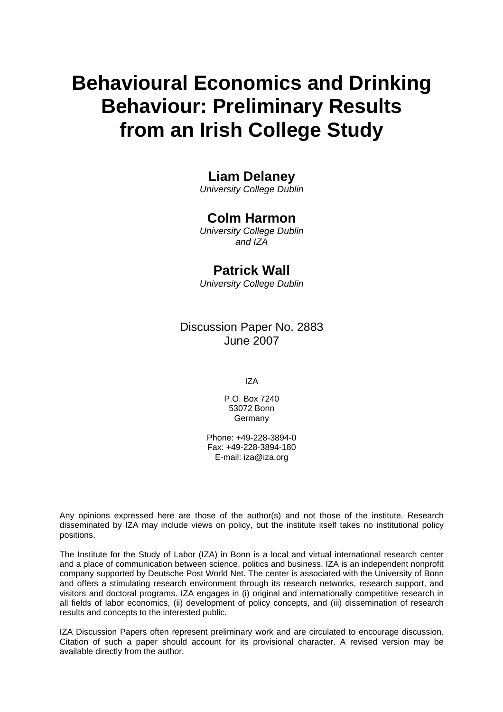# **Behavioural Economics and Drinking Behaviour: Preliminary Results from an Irish College Study**

## **Liam Delaney**

*University College Dublin* 

## **Colm Harmon**

*University College Dublin and IZA* 

## **Patrick Wall**

*University College Dublin* 

## Discussion Paper No. 2883 June 2007

IZA

P.O. Box 7240 53072 Bonn Germany

Phone: +49-228-3894-0 Fax: +49-228-3894-180 E-mail: [iza@iza.org](mailto:iza@iza.org)

Any opinions expressed here are those of the author(s) and not those of the institute. Research disseminated by IZA may include views on policy, but the institute itself takes no institutional policy positions.

The Institute for the Study of Labor (IZA) in Bonn is a local and virtual international research center and a place of communication between science, politics and business. IZA is an independent nonprofit company supported by Deutsche Post World Net. The center is associated with the University of Bonn and offers a stimulating research environment through its research networks, research support, and visitors and doctoral programs. IZA engages in (i) original and internationally competitive research in all fields of labor economics, (ii) development of policy concepts, and (iii) dissemination of research results and concepts to the interested public.

IZA Discussion Papers often represent preliminary work and are circulated to encourage discussion. Citation of such a paper should account for its provisional character. A revised version may be available directly from the author.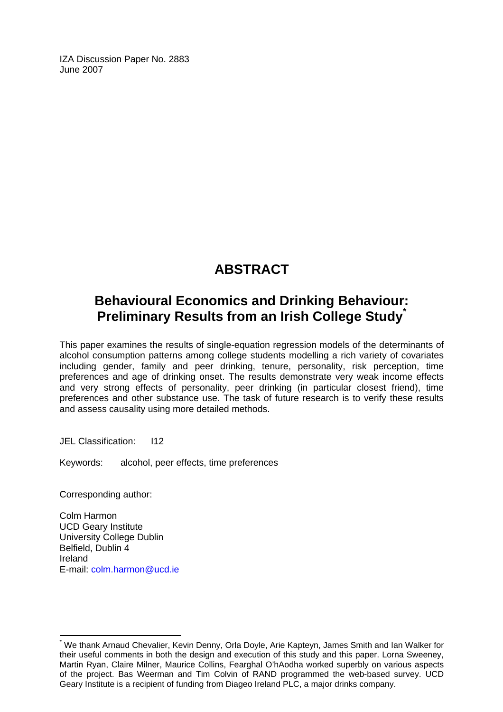IZA Discussion Paper No. 2883 June 2007

## **ABSTRACT**

## **Behavioural Economics and Drinking Behaviour: Preliminary Results from an Irish College Study[\\*](#page-2-0)**

This paper examines the results of single-equation regression models of the determinants of alcohol consumption patterns among college students modelling a rich variety of covariates including gender, family and peer drinking, tenure, personality, risk perception, time preferences and age of drinking onset. The results demonstrate very weak income effects and very strong effects of personality, peer drinking (in particular closest friend), time preferences and other substance use. The task of future research is to verify these results and assess causality using more detailed methods.

JEL Classification: I12

Keywords: alcohol, peer effects, time preferences

Corresponding author:

 $\overline{a}$ 

Colm Harmon UCD Geary Institute University College Dublin Belfield, Dublin 4 Ireland E-mail: [colm.harmon@ucd.ie](mailto:colm.harmon@ucd.ie) 

<span id="page-2-0"></span><sup>\*</sup> We thank Arnaud Chevalier, Kevin Denny, Orla Doyle, Arie Kapteyn, James Smith and Ian Walker for their useful comments in both the design and execution of this study and this paper. Lorna Sweeney, Martin Ryan, Claire Milner, Maurice Collins, Fearghal O'hAodha worked superbly on various aspects of the project. Bas Weerman and Tim Colvin of RAND programmed the web-based survey. UCD Geary Institute is a recipient of funding from Diageo Ireland PLC, a major drinks company.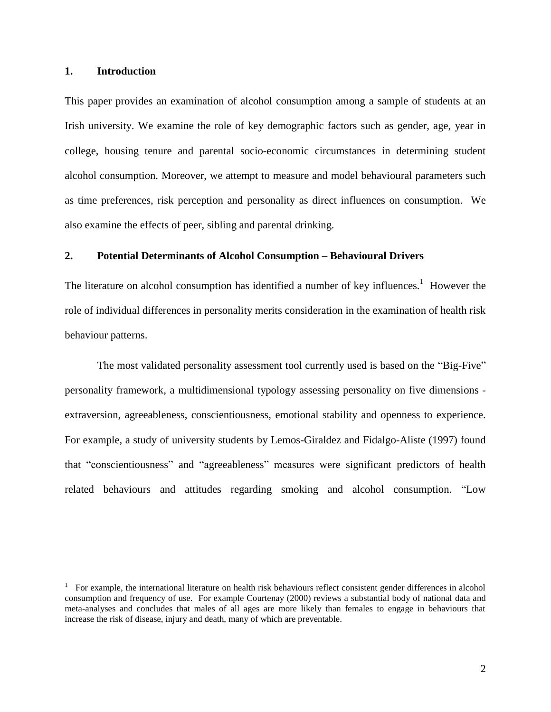#### **1. Introduction**

This paper provides an examination of alcohol consumption among a sample of students at an Irish university. We examine the role of key demographic factors such as gender, age, year in college, housing tenure and parental socio-economic circumstances in determining student alcohol consumption. Moreover, we attempt to measure and model behavioural parameters such as time preferences, risk perception and personality as direct influences on consumption. We also examine the effects of peer, sibling and parental drinking.

#### **2. Potential Determinants of Alcohol Consumption – Behavioural Drivers**

The literature on alcohol consumption has identified a number of key influences.<sup>1</sup> However the role of individual differences in personality merits consideration in the examination of health risk behaviour patterns.

The most validated personality assessment tool currently used is based on the "Big-Five" personality framework, a multidimensional typology assessing personality on five dimensions extraversion, agreeableness, conscientiousness, emotional stability and openness to experience. For example, a study of university students by Lemos-Giraldez and Fidalgo-Aliste (1997) found that "conscientiousness" and "agreeableness" measures were significant predictors of health related behaviours and attitudes regarding smoking and alcohol consumption. "Low

 $1$  For example, the international literature on health risk behaviours reflect consistent gender differences in alcohol consumption and frequency of use. For example Courtenay (2000) reviews a substantial body of national data and meta-analyses and concludes that males of all ages are more likely than females to engage in behaviours that increase the risk of disease, injury and death, many of which are preventable.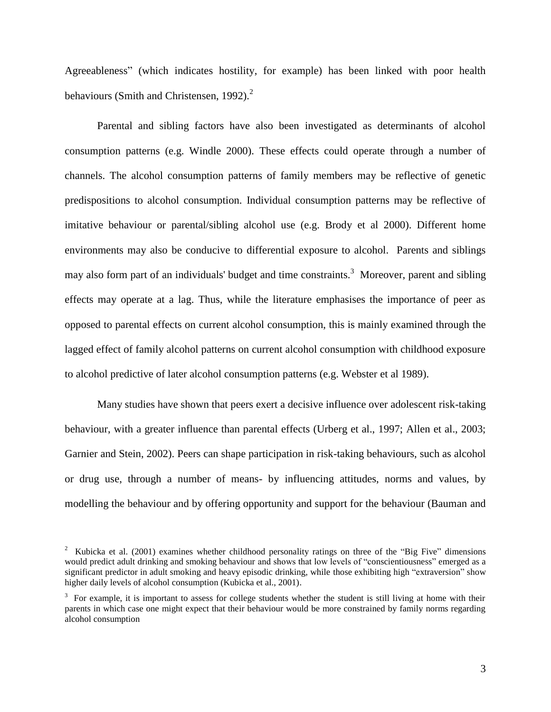Agreeableness" (which indicates hostility, for example) has been linked with poor health behaviours (Smith and Christensen, 1992). $2$ 

Parental and sibling factors have also been investigated as determinants of alcohol consumption patterns (e.g. Windle 2000). These effects could operate through a number of channels. The alcohol consumption patterns of family members may be reflective of genetic predispositions to alcohol consumption. Individual consumption patterns may be reflective of imitative behaviour or parental/sibling alcohol use (e.g. Brody et al 2000). Different home environments may also be conducive to differential exposure to alcohol. Parents and siblings may also form part of an individuals' budget and time constraints.<sup>3</sup> Moreover, parent and sibling effects may operate at a lag. Thus, while the literature emphasises the importance of peer as opposed to parental effects on current alcohol consumption, this is mainly examined through the lagged effect of family alcohol patterns on current alcohol consumption with childhood exposure to alcohol predictive of later alcohol consumption patterns (e.g. Webster et al 1989).

Many studies have shown that peers exert a decisive influence over adolescent risk-taking behaviour, with a greater influence than parental effects (Urberg et al., 1997; Allen et al., 2003; Garnier and Stein, 2002). Peers can shape participation in risk-taking behaviours, such as alcohol or drug use, through a number of means- by influencing attitudes, norms and values, by modelling the behaviour and by offering opportunity and support for the behaviour (Bauman and

<sup>&</sup>lt;sup>2</sup> Kubicka et al. (2001) examines whether childhood personality ratings on three of the "Big Five" dimensions would predict adult drinking and smoking behaviour and shows that low levels of "conscientiousness" emerged as a significant predictor in adult smoking and heavy episodic drinking, while those exhibiting high "extraversion" show higher daily levels of alcohol consumption (Kubicka et al., 2001).

 $3$  For example, it is important to assess for college students whether the student is still living at home with their parents in which case one might expect that their behaviour would be more constrained by family norms regarding alcohol consumption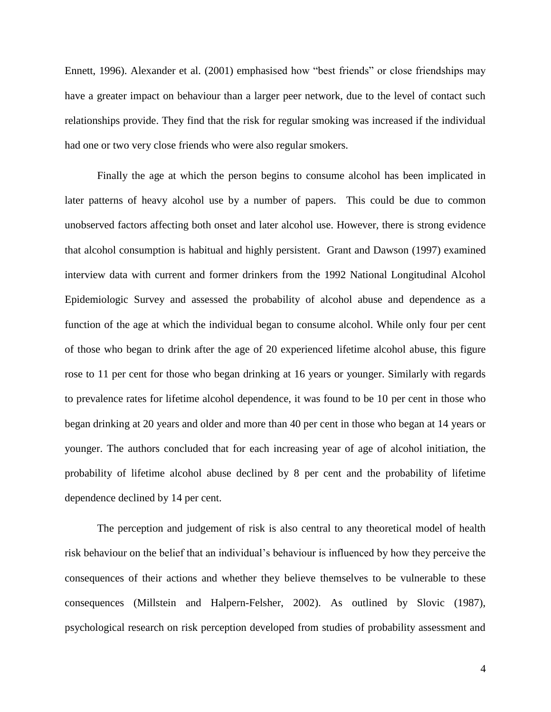Ennett, 1996). Alexander et al. (2001) emphasised how "best friends" or close friendships may have a greater impact on behaviour than a larger peer network, due to the level of contact such relationships provide. They find that the risk for regular smoking was increased if the individual had one or two very close friends who were also regular smokers.

Finally the age at which the person begins to consume alcohol has been implicated in later patterns of heavy alcohol use by a number of papers. This could be due to common unobserved factors affecting both onset and later alcohol use. However, there is strong evidence that alcohol consumption is habitual and highly persistent. Grant and Dawson (1997) examined interview data with current and former drinkers from the 1992 National Longitudinal Alcohol Epidemiologic Survey and assessed the probability of alcohol abuse and dependence as a function of the age at which the individual began to consume alcohol. While only four per cent of those who began to drink after the age of 20 experienced lifetime alcohol abuse, this figure rose to 11 per cent for those who began drinking at 16 years or younger. Similarly with regards to prevalence rates for lifetime alcohol dependence, it was found to be 10 per cent in those who began drinking at 20 years and older and more than 40 per cent in those who began at 14 years or younger. The authors concluded that for each increasing year of age of alcohol initiation, the probability of lifetime alcohol abuse declined by 8 per cent and the probability of lifetime dependence declined by 14 per cent.

The perception and judgement of risk is also central to any theoretical model of health risk behaviour on the belief that an individual's behaviour is influenced by how they perceive the consequences of their actions and whether they believe themselves to be vulnerable to these consequences (Millstein and Halpern-Felsher, 2002). As outlined by Slovic (1987), psychological research on risk perception developed from studies of probability assessment and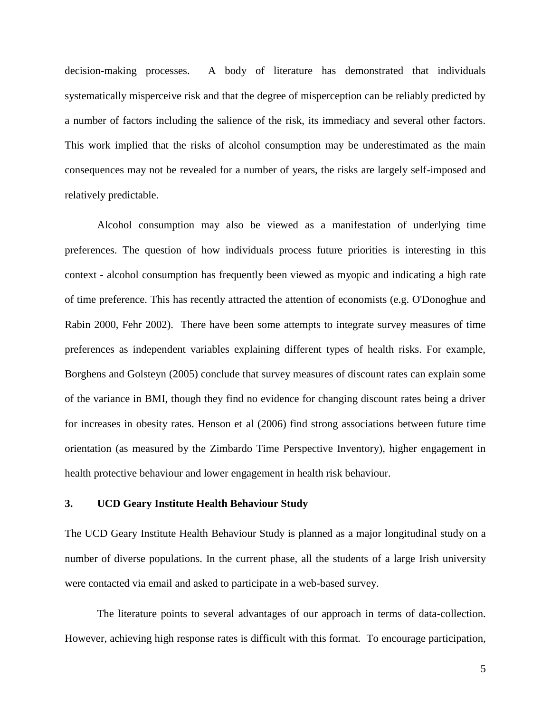decision-making processes. A body of literature has demonstrated that individuals systematically misperceive risk and that the degree of misperception can be reliably predicted by a number of factors including the salience of the risk, its immediacy and several other factors. This work implied that the risks of alcohol consumption may be underestimated as the main consequences may not be revealed for a number of years, the risks are largely self-imposed and relatively predictable.

Alcohol consumption may also be viewed as a manifestation of underlying time preferences. The question of how individuals process future priorities is interesting in this context - alcohol consumption has frequently been viewed as myopic and indicating a high rate of time preference. This has recently attracted the attention of economists (e.g. O'Donoghue and Rabin 2000, Fehr 2002). There have been some attempts to integrate survey measures of time preferences as independent variables explaining different types of health risks. For example, Borghens and Golsteyn (2005) conclude that survey measures of discount rates can explain some of the variance in BMI, though they find no evidence for changing discount rates being a driver for increases in obesity rates. Henson et al (2006) find strong associations between future time orientation (as measured by the Zimbardo Time Perspective Inventory), higher engagement in health protective behaviour and lower engagement in health risk behaviour.

#### **3. UCD Geary Institute Health Behaviour Study**

The UCD Geary Institute Health Behaviour Study is planned as a major longitudinal study on a number of diverse populations. In the current phase, all the students of a large Irish university were contacted via email and asked to participate in a web-based survey.

The literature points to several advantages of our approach in terms of data-collection. However, achieving high response rates is difficult with this format. To encourage participation,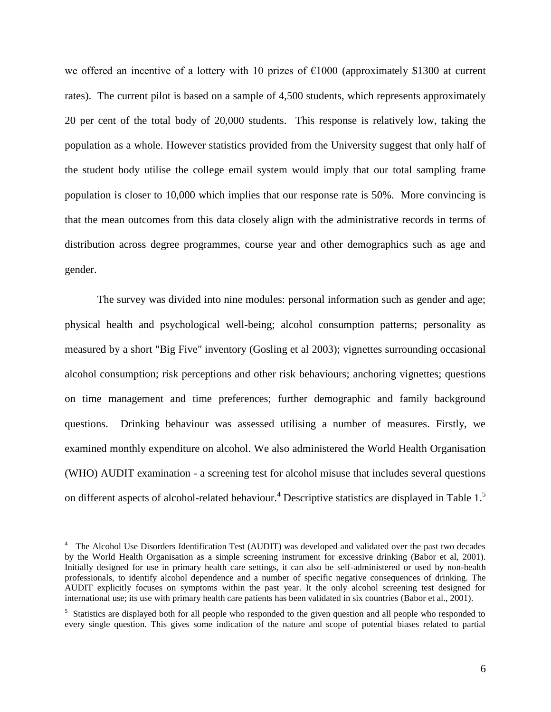we offered an incentive of a lottery with 10 prizes of  $\epsilon$ 1000 (approximately \$1300 at current rates). The current pilot is based on a sample of 4,500 students, which represents approximately 20 per cent of the total body of 20,000 students. This response is relatively low, taking the population as a whole. However statistics provided from the University suggest that only half of the student body utilise the college email system would imply that our total sampling frame population is closer to 10,000 which implies that our response rate is 50%. More convincing is that the mean outcomes from this data closely align with the administrative records in terms of distribution across degree programmes, course year and other demographics such as age and gender.

The survey was divided into nine modules: personal information such as gender and age; physical health and psychological well-being; alcohol consumption patterns; personality as measured by a short "Big Five" inventory (Gosling et al 2003); vignettes surrounding occasional alcohol consumption; risk perceptions and other risk behaviours; anchoring vignettes; questions on time management and time preferences; further demographic and family background questions. Drinking behaviour was assessed utilising a number of measures. Firstly, we examined monthly expenditure on alcohol. We also administered the World Health Organisation (WHO) AUDIT examination - a screening test for alcohol misuse that includes several questions on different aspects of alcohol-related behaviour.<sup>4</sup> Descriptive statistics are displayed in Table 1.<sup>5</sup>

<sup>&</sup>lt;sup>4</sup> The Alcohol Use Disorders Identification Test (AUDIT) was developed and validated over the past two decades by the World Health Organisation as a simple screening instrument for excessive drinking (Babor et al, 2001). Initially designed for use in primary health care settings, it can also be self-administered or used by non-health professionals, to identify alcohol dependence and a number of specific negative consequences of drinking. The AUDIT explicitly focuses on symptoms within the past year. It the only alcohol screening test designed for international use; its use with primary health care patients has been validated in six countries (Babor et al., 2001).

<sup>&</sup>lt;sup>5</sup> Statistics are displayed both for all people who responded to the given question and all people who responded to every single question. This gives some indication of the nature and scope of potential biases related to partial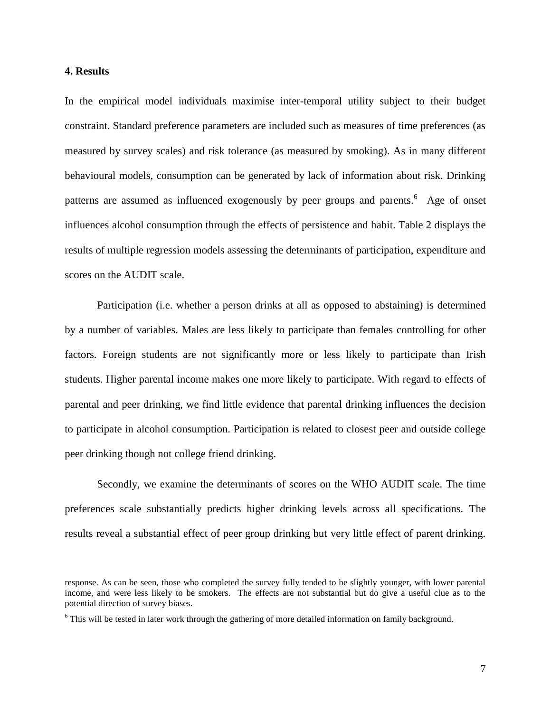#### **4. Results**

In the empirical model individuals maximise inter-temporal utility subject to their budget constraint. Standard preference parameters are included such as measures of time preferences (as measured by survey scales) and risk tolerance (as measured by smoking). As in many different behavioural models, consumption can be generated by lack of information about risk. Drinking patterns are assumed as influenced exogenously by peer groups and parents.<sup>6</sup> Age of onset influences alcohol consumption through the effects of persistence and habit. Table 2 displays the results of multiple regression models assessing the determinants of participation, expenditure and scores on the AUDIT scale.

Participation (i.e. whether a person drinks at all as opposed to abstaining) is determined by a number of variables. Males are less likely to participate than females controlling for other factors. Foreign students are not significantly more or less likely to participate than Irish students. Higher parental income makes one more likely to participate. With regard to effects of parental and peer drinking, we find little evidence that parental drinking influences the decision to participate in alcohol consumption. Participation is related to closest peer and outside college peer drinking though not college friend drinking.

Secondly, we examine the determinants of scores on the WHO AUDIT scale. The time preferences scale substantially predicts higher drinking levels across all specifications. The results reveal a substantial effect of peer group drinking but very little effect of parent drinking.

response. As can be seen, those who completed the survey fully tended to be slightly younger, with lower parental income, and were less likely to be smokers. The effects are not substantial but do give a useful clue as to the potential direction of survey biases.

<sup>&</sup>lt;sup>6</sup> This will be tested in later work through the gathering of more detailed information on family background.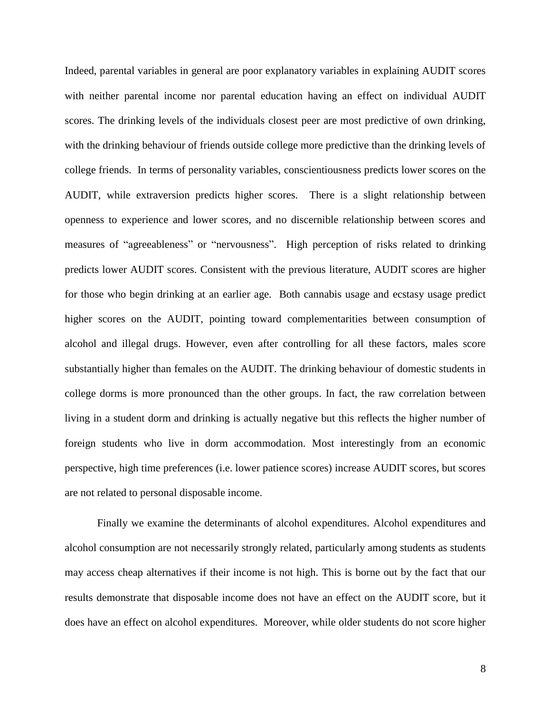Indeed, parental variables in general are poor explanatory variables in explaining AUDIT scores with neither parental income nor parental education having an effect on individual AUDIT scores. The drinking levels of the individuals closest peer are most predictive of own drinking, with the drinking behaviour of friends outside college more predictive than the drinking levels of college friends. In terms of personality variables, conscientiousness predicts lower scores on the AUDIT, while extraversion predicts higher scores. There is a slight relationship between openness to experience and lower scores, and no discernible relationship between scores and measures of "agreeableness" or "nervousness". High perception of risks related to drinking predicts lower AUDIT scores. Consistent with the previous literature, AUDIT scores are higher for those who begin drinking at an earlier age. Both cannabis usage and ecstasy usage predict higher scores on the AUDIT, pointing toward complementarities between consumption of alcohol and illegal drugs. However, even after controlling for all these factors, males score substantially higher than females on the AUDIT. The drinking behaviour of domestic students in college dorms is more pronounced than the other groups. In fact, the raw correlation between living in a student dorm and drinking is actually negative but this reflects the higher number of foreign students who live in dorm accommodation. Most interestingly from an economic perspective, high time preferences (i.e. lower patience scores) increase AUDIT scores, but scores are not related to personal disposable income.

Finally we examine the determinants of alcohol expenditures. Alcohol expenditures and alcohol consumption are not necessarily strongly related, particularly among students as students may access cheap alternatives if their income is not high. This is borne out by the fact that our results demonstrate that disposable income does not have an effect on the AUDIT score, but it does have an effect on alcohol expenditures. Moreover, while older students do not score higher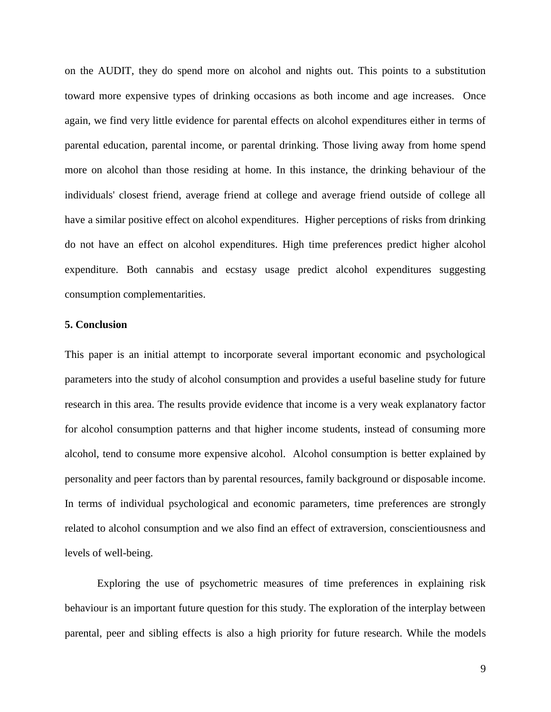on the AUDIT, they do spend more on alcohol and nights out. This points to a substitution toward more expensive types of drinking occasions as both income and age increases. Once again, we find very little evidence for parental effects on alcohol expenditures either in terms of parental education, parental income, or parental drinking. Those living away from home spend more on alcohol than those residing at home. In this instance, the drinking behaviour of the individuals' closest friend, average friend at college and average friend outside of college all have a similar positive effect on alcohol expenditures. Higher perceptions of risks from drinking do not have an effect on alcohol expenditures. High time preferences predict higher alcohol expenditure. Both cannabis and ecstasy usage predict alcohol expenditures suggesting consumption complementarities.

#### **5. Conclusion**

This paper is an initial attempt to incorporate several important economic and psychological parameters into the study of alcohol consumption and provides a useful baseline study for future research in this area. The results provide evidence that income is a very weak explanatory factor for alcohol consumption patterns and that higher income students, instead of consuming more alcohol, tend to consume more expensive alcohol. Alcohol consumption is better explained by personality and peer factors than by parental resources, family background or disposable income. In terms of individual psychological and economic parameters, time preferences are strongly related to alcohol consumption and we also find an effect of extraversion, conscientiousness and levels of well-being.

Exploring the use of psychometric measures of time preferences in explaining risk behaviour is an important future question for this study. The exploration of the interplay between parental, peer and sibling effects is also a high priority for future research. While the models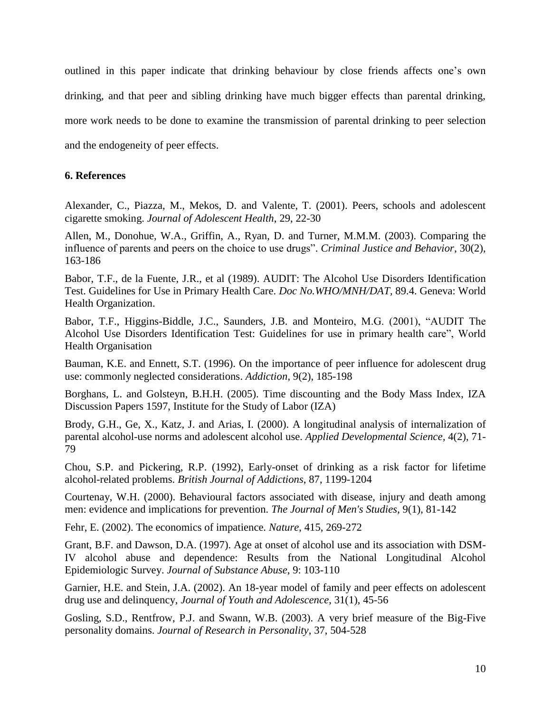outlined in this paper indicate that drinking behaviour by close friends affects one's own drinking, and that peer and sibling drinking have much bigger effects than parental drinking, more work needs to be done to examine the transmission of parental drinking to peer selection and the endogeneity of peer effects.

#### **6. References**

Alexander, C., Piazza, M., Mekos, D. and Valente, T. (2001). Peers, schools and adolescent cigarette smoking. *Journal of Adolescent Health*, 29, 22-30

Allen, M., Donohue, W.A., Griffin, A., Ryan, D. and Turner, M.M.M. (2003). Comparing the influence of parents and peers on the choice to use drugs". *Criminal Justice and Behavior*, 30(2), 163-186

Babor, T.F., de la Fuente, J.R., et al (1989). AUDIT: The Alcohol Use Disorders Identification Test. Guidelines for Use in Primary Health Care. *Doc No.WHO/MNH/DAT,* 89.4. Geneva: World Health Organization.

Babor, T.F., Higgins-Biddle, J.C., Saunders, J.B. and Monteiro, M.G. (2001), "AUDIT The Alcohol Use Disorders Identification Test: Guidelines for use in primary health care", World Health Organisation

Bauman, K.E. and Ennett, S.T. (1996). On the importance of peer influence for adolescent drug use: commonly neglected considerations. *Addiction*, 9(2), 185-198

Borghans, L. and Golsteyn, B.H.H. (2005). Time discounting and the Body Mass Index, IZA Discussion Papers 1597, Institute for the Study of Labor (IZA)

Brody, G.H., Ge, X., Katz, J. and Arias, I. (2000). A longitudinal analysis of internalization of parental alcohol-use norms and adolescent alcohol use. *Applied Developmental Science*, 4(2), 71- 79

Chou, S.P. and Pickering, R.P. (1992), Early-onset of drinking as a risk factor for lifetime alcohol-related problems. *British Journal of Addictions*, 87, 1199-1204

Courtenay, W.H. (2000). Behavioural factors associated with disease, injury and death among men: evidence and implications for prevention. *The Journal of Men's Studies*, 9(1), 81-142

Fehr, E. (2002). The economics of impatience. *Nature*, 415, 269-272

Grant, B.F. and Dawson, D.A. (1997). Age at onset of alcohol use and its association with DSM-IV alcohol abuse and dependence: Results from the National Longitudinal Alcohol Epidemiologic Survey. *Journal of Substance Abuse*, 9: 103-110

Garnier, H.E. and Stein, J.A. (2002). An 18-year model of family and peer effects on adolescent drug use and delinquency, *Journal of Youth and Adolescence*, 31(1), 45-56

Gosling, S.D., Rentfrow, P.J. and Swann, W.B. (2003). A very brief measure of the Big-Five personality domains. *Journal of Research in Personality*, 37, 504-528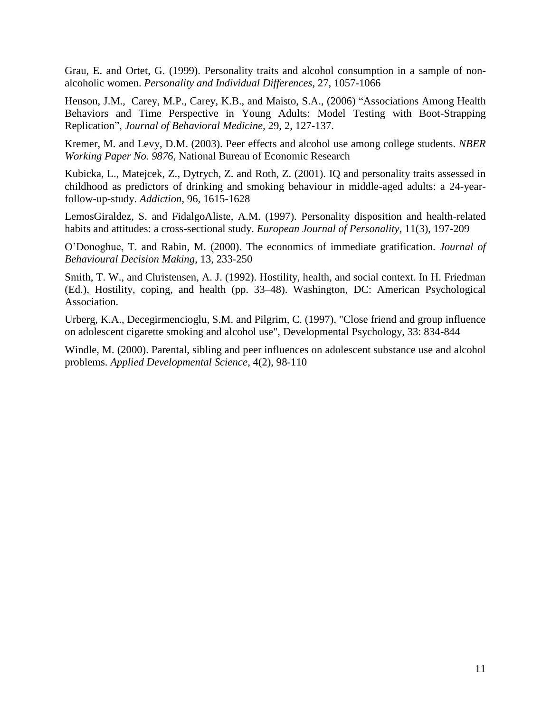Grau, E. and Ortet, G. (1999). Personality traits and alcohol consumption in a sample of nonalcoholic women. *Personality and Individual Differences*, 27, 1057-1066

Henson, J.M., Carey, M.P., Carey, K.B., and Maisto, S.A., (2006) "Associations Among Health Behaviors and Time Perspective in Young Adults: Model Testing with Boot-Strapping Replication", *Journal of Behavioral Medicine,* 29, 2, 127-137.

Kremer, M. and Levy, D.M. (2003). Peer effects and alcohol use among college students. *NBER Working Paper No. 9876,* National Bureau of Economic Research

Kubicka, L., Matejcek, Z., Dytrych, Z. and Roth, Z. (2001). IQ and personality traits assessed in childhood as predictors of drinking and smoking behaviour in middle-aged adults: a 24-yearfollow-up-study. *Addiction*, 96, 1615-1628

LemosGiraldez, S. and FidalgoAliste, A.M. (1997). Personality disposition and health-related habits and attitudes: a cross-sectional study. *European Journal of Personality,* 11(3), 197-209

O'Donoghue, T. and Rabin, M. (2000). The economics of immediate gratification. *Journal of Behavioural Decision Making*, 13, 233-250

Smith, T. W., and Christensen, A. J. (1992). Hostility, health, and social context. In H. Friedman (Ed.), Hostility, coping, and health (pp. 33–48). Washington, DC: American Psychological Association.

Urberg, K.A., Decegirmencioglu, S.M. and Pilgrim, C. (1997), "Close friend and group influence on adolescent cigarette smoking and alcohol use", Developmental Psychology, 33: 834-844

Windle, M. (2000). Parental, sibling and peer influences on adolescent substance use and alcohol problems. *Applied Developmental Science*, 4(2), 98-110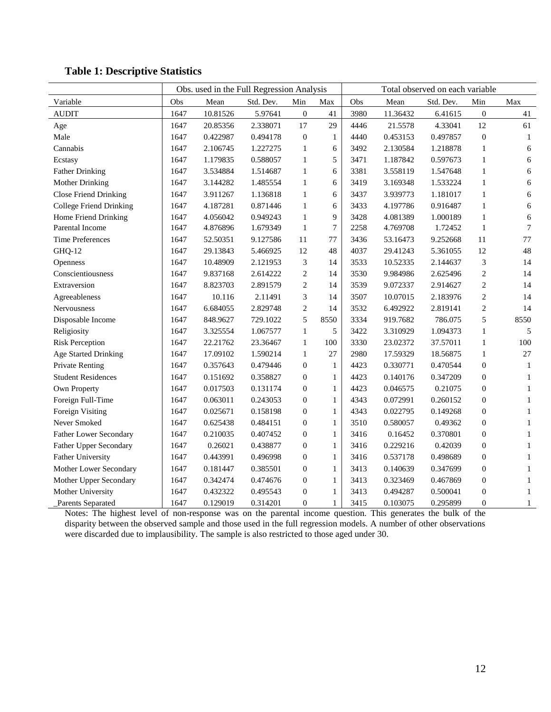|                                | Obs. used in the Full Regression Analysis |          |           |                  | Total observed on each variable |      |          |           |                  |                |
|--------------------------------|-------------------------------------------|----------|-----------|------------------|---------------------------------|------|----------|-----------|------------------|----------------|
| Variable                       | Obs                                       | Mean     | Std. Dev. | Min              | Max                             | Obs  | Mean     | Std. Dev. | Min              | Max            |
| <b>AUDIT</b>                   | 1647                                      | 10.81526 | 5.97641   | $\boldsymbol{0}$ | 41                              | 3980 | 11.36432 | 6.41615   | $\boldsymbol{0}$ | 41             |
| Age                            | 1647                                      | 20.85356 | 2.338071  | 17               | 29                              | 4446 | 21.5578  | 4.33041   | 12               | 61             |
| Male                           | 1647                                      | 0.422987 | 0.494178  | $\Omega$         | 1                               | 4440 | 0.453153 | 0.497857  | $\theta$         | 1              |
| Cannabis                       | 1647                                      | 2.106745 | 1.227275  | $\mathbf{1}$     | 6                               | 3492 | 2.130584 | 1.218878  | $\mathbf{1}$     | 6              |
| Ecstasy                        | 1647                                      | 1.179835 | 0.588057  | $\mathbf{1}$     | 5                               | 3471 | 1.187842 | 0.597673  | 1                | $\sqrt{6}$     |
| <b>Father Drinking</b>         | 1647                                      | 3.534884 | 1.514687  | $\mathbf{1}$     | 6                               | 3381 | 3.558119 | 1.547648  | 1                | 6              |
| <b>Mother Drinking</b>         | 1647                                      | 3.144282 | 1.485554  | $\mathbf{1}$     | 6                               | 3419 | 3.169348 | 1.533224  | 1                | 6              |
| <b>Close Friend Drinking</b>   | 1647                                      | 3.911267 | 1.136818  | $\mathbf{1}$     | 6                               | 3437 | 3.939773 | 1.181017  | $\mathbf{1}$     | 6              |
| <b>College Friend Drinking</b> | 1647                                      | 4.187281 | 0.871446  | $\mathbf{1}$     | 6                               | 3433 | 4.197786 | 0.916487  | $\mathbf{1}$     | 6              |
| Home Friend Drinking           | 1647                                      | 4.056042 | 0.949243  | $\mathbf{1}$     | 9                               | 3428 | 4.081389 | 1.000189  | $\mathbf{1}$     | 6              |
| Parental Income                | 1647                                      | 4.876896 | 1.679349  | $\mathbf{1}$     | $\overline{7}$                  | 2258 | 4.769708 | 1.72452   | $\mathbf{1}$     | $\overline{7}$ |
| <b>Time Preferences</b>        | 1647                                      | 52.50351 | 9.127586  | 11               | 77                              | 3436 | 53.16473 | 9.252668  | 11               | 77             |
| GHQ-12                         | 1647                                      | 29.13843 | 5.466925  | 12               | 48                              | 4037 | 29.41243 | 5.361055  | 12               | 48             |
| Openness                       | 1647                                      | 10.48909 | 2.121953  | 3                | 14                              | 3533 | 10.52335 | 2.144637  | 3                | 14             |
| Conscientiousness              | 1647                                      | 9.837168 | 2.614222  | $\overline{2}$   | 14                              | 3530 | 9.984986 | 2.625496  | $\overline{2}$   | 14             |
| Extraversion                   | 1647                                      | 8.823703 | 2.891579  | $\overline{2}$   | 14                              | 3539 | 9.072337 | 2.914627  | $\mathbf{2}$     | 14             |
| Agreeableness                  | 1647                                      | 10.116   | 2.11491   | 3                | 14                              | 3507 | 10.07015 | 2.183976  | $\overline{c}$   | 14             |
| Nervousness                    | 1647                                      | 6.684055 | 2.829748  | $\overline{2}$   | 14                              | 3532 | 6.492922 | 2.819141  | $\overline{c}$   | 14             |
| Disposable Income              | 1647                                      | 848.9627 | 729.1022  | 5                | 8550                            | 3334 | 919.7682 | 786.075   | 5                | 8550           |
| Religiosity                    | 1647                                      | 3.325554 | 1.067577  | $\mathbf{1}$     | 5                               | 3422 | 3.310929 | 1.094373  | 1                | 5              |
| <b>Risk Perception</b>         | 1647                                      | 22.21762 | 23.36467  | $\mathbf{1}$     | 100                             | 3330 | 23.02372 | 37.57011  | $\mathbf{1}$     | 100            |
| <b>Age Started Drinking</b>    | 1647                                      | 17.09102 | 1.590214  | $\mathbf{1}$     | 27                              | 2980 | 17.59329 | 18.56875  | $\mathbf{1}$     | $27\,$         |
| <b>Private Renting</b>         | 1647                                      | 0.357643 | 0.479446  | $\overline{0}$   | $\mathbf{1}$                    | 4423 | 0.330771 | 0.470544  | $\boldsymbol{0}$ | $\mathbf{1}$   |
| <b>Student Residences</b>      | 1647                                      | 0.151692 | 0.358827  | $\overline{0}$   | 1                               | 4423 | 0.140176 | 0.347209  | $\boldsymbol{0}$ | $\mathbf{1}$   |
| Own Property                   | 1647                                      | 0.017503 | 0.131174  | $\boldsymbol{0}$ | $\mathbf{1}$                    | 4423 | 0.046575 | 0.21075   | $\boldsymbol{0}$ | $\mathbf{1}$   |
| Foreign Full-Time              | 1647                                      | 0.063011 | 0.243053  | $\boldsymbol{0}$ | $\mathbf{1}$                    | 4343 | 0.072991 | 0.260152  | $\boldsymbol{0}$ | $\mathbf{1}$   |
| Foreign Visiting               | 1647                                      | 0.025671 | 0.158198  | $\overline{0}$   | $\mathbf{1}$                    | 4343 | 0.022795 | 0.149268  | $\boldsymbol{0}$ | $\mathbf{1}$   |
| Never Smoked                   | 1647                                      | 0.625438 | 0.484151  | $\overline{0}$   | 1                               | 3510 | 0.580057 | 0.49362   | $\boldsymbol{0}$ | $\mathbf{1}$   |
| Father Lower Secondary         | 1647                                      | 0.210035 | 0.407452  | $\boldsymbol{0}$ | $\mathbf{1}$                    | 3416 | 0.16452  | 0.370801  | $\boldsymbol{0}$ | $\mathbf{1}$   |
| Father Upper Secondary         | 1647                                      | 0.26021  | 0.438877  | $\boldsymbol{0}$ | $\mathbf{1}$                    | 3416 | 0.229216 | 0.42039   | $\boldsymbol{0}$ | $\mathbf{1}$   |
| <b>Father University</b>       | 1647                                      | 0.443991 | 0.496998  | $\overline{0}$   | 1                               | 3416 | 0.537178 | 0.498689  | $\boldsymbol{0}$ | $\mathbf{1}$   |
| Mother Lower Secondary         | 1647                                      | 0.181447 | 0.385501  | $\overline{0}$   | $\mathbf{1}$                    | 3413 | 0.140639 | 0.347699  | $\boldsymbol{0}$ | $\mathbf{1}$   |
| Mother Upper Secondary         | 1647                                      | 0.342474 | 0.474676  | $\boldsymbol{0}$ | $\mathbf{1}$                    | 3413 | 0.323469 | 0.467869  | $\mathbf{0}$     | $\mathbf{1}$   |
| Mother University              | 1647                                      | 0.432322 | 0.495543  | $\boldsymbol{0}$ | $\mathbf{1}$                    | 3413 | 0.494287 | 0.500041  | $\mathbf{0}$     | $\mathbf{1}$   |
| Parents Separated              | 1647                                      | 0.129019 | 0.314201  | $\overline{0}$   | $\mathbf{1}$                    | 3415 | 0.103075 | 0.295899  | $\theta$         | 1              |

### **Table 1: Descriptive Statistics**

Notes: The highest level of non-response was on the parental income question. This generates the bulk of the disparity between the observed sample and those used in the full regression models. A number of other observations were discarded due to implausibility. The sample is also restricted to those aged under 30.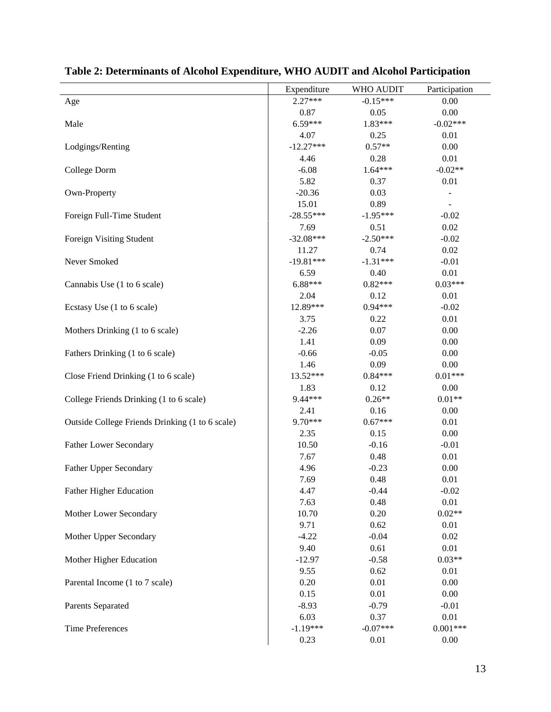|                                                 | Expenditure | WHO AUDIT       | Participation                |
|-------------------------------------------------|-------------|-----------------|------------------------------|
|                                                 | $2.27***$   | $-0.15***$      | 0.00                         |
| Age                                             | 0.87        | 0.05            | 0.00                         |
|                                                 | $6.59***$   |                 | $-0.02***$                   |
| Male                                            | 4.07        | 1.83***<br>0.25 | 0.01                         |
| Lodgings/Renting                                | $-12.27***$ | $0.57**$        | 0.00                         |
|                                                 | 4.46        | 0.28            | 0.01                         |
| College Dorm                                    | $-6.08$     | $1.64***$       | $-0.02**$                    |
|                                                 | 5.82        | 0.37            | 0.01                         |
| Own-Property                                    | $-20.36$    | 0.03            | $\overline{\phantom{a}}$     |
|                                                 | 15.01       | 0.89            | $\qquad \qquad \blacksquare$ |
| Foreign Full-Time Student                       | $-28.55***$ | $-1.95***$      | $-0.02$                      |
|                                                 | 7.69        | 0.51            | 0.02                         |
| Foreign Visiting Student                        | $-32.08***$ | $-2.50***$      | $-0.02$                      |
|                                                 | 11.27       | 0.74            | 0.02                         |
| Never Smoked                                    | $-19.81***$ | $-1.31***$      | $-0.01$                      |
|                                                 | 6.59        | 0.40            | 0.01                         |
| Cannabis Use (1 to 6 scale)                     | $6.88***$   | $0.82***$       | $0.03***$                    |
|                                                 | 2.04        | 0.12            | 0.01                         |
| Ecstasy Use (1 to 6 scale)                      | 12.89***    | $0.94***$       | $-0.02$                      |
|                                                 | 3.75        | 0.22            | 0.01                         |
| Mothers Drinking (1 to 6 scale)                 | $-2.26$     | 0.07            | 0.00                         |
|                                                 | 1.41        | 0.09            | 0.00                         |
| Fathers Drinking (1 to 6 scale)                 | $-0.66$     | $-0.05$         | 0.00                         |
|                                                 | 1.46        | 0.09            | 0.00                         |
| Close Friend Drinking (1 to 6 scale)            | 13.52***    | $0.84***$       | $0.01***$                    |
|                                                 | 1.83        | 0.12            | 0.00                         |
| College Friends Drinking (1 to 6 scale)         | 9.44***     | $0.26**$        | $0.01**$                     |
|                                                 | 2.41        | 0.16            | 0.00                         |
| Outside College Friends Drinking (1 to 6 scale) | 9.70***     | $0.67***$       | 0.01                         |
|                                                 | 2.35        | 0.15            | 0.00                         |
| Father Lower Secondary                          | 10.50       | $-0.16$         | $-0.01$                      |
|                                                 | 7.67        | 0.48            | 0.01                         |
| <b>Father Upper Secondary</b>                   | 4.96        | $-0.23$         | 0.00                         |
|                                                 | 7.69        | 0.48            | 0.01                         |
| <b>Father Higher Education</b>                  | 4.47        | $-0.44$         | $-0.02$                      |
|                                                 | 7.63        | 0.48            | $0.01\,$                     |
| Mother Lower Secondary                          | 10.70       | 0.20            | $0.02**$                     |
|                                                 | 9.71        | 0.62            | 0.01                         |
| Mother Upper Secondary                          | $-4.22$     | $-0.04$         | 0.02                         |
|                                                 | 9.40        | 0.61            | 0.01                         |
| Mother Higher Education                         | $-12.97$    | $-0.58$         | $0.03**$                     |
|                                                 | 9.55        | 0.62            | 0.01                         |
| Parental Income (1 to 7 scale)                  | 0.20        | 0.01            | 0.00                         |
|                                                 | 0.15        | 0.01            | 0.00                         |
| Parents Separated                               | $-8.93$     | $-0.79$         | $-0.01$                      |
|                                                 | 6.03        | 0.37            | 0.01                         |
| <b>Time Preferences</b>                         | $-1.19***$  | $-0.07***$      | $0.001***$                   |
|                                                 | 0.23        | 0.01            | 0.00                         |